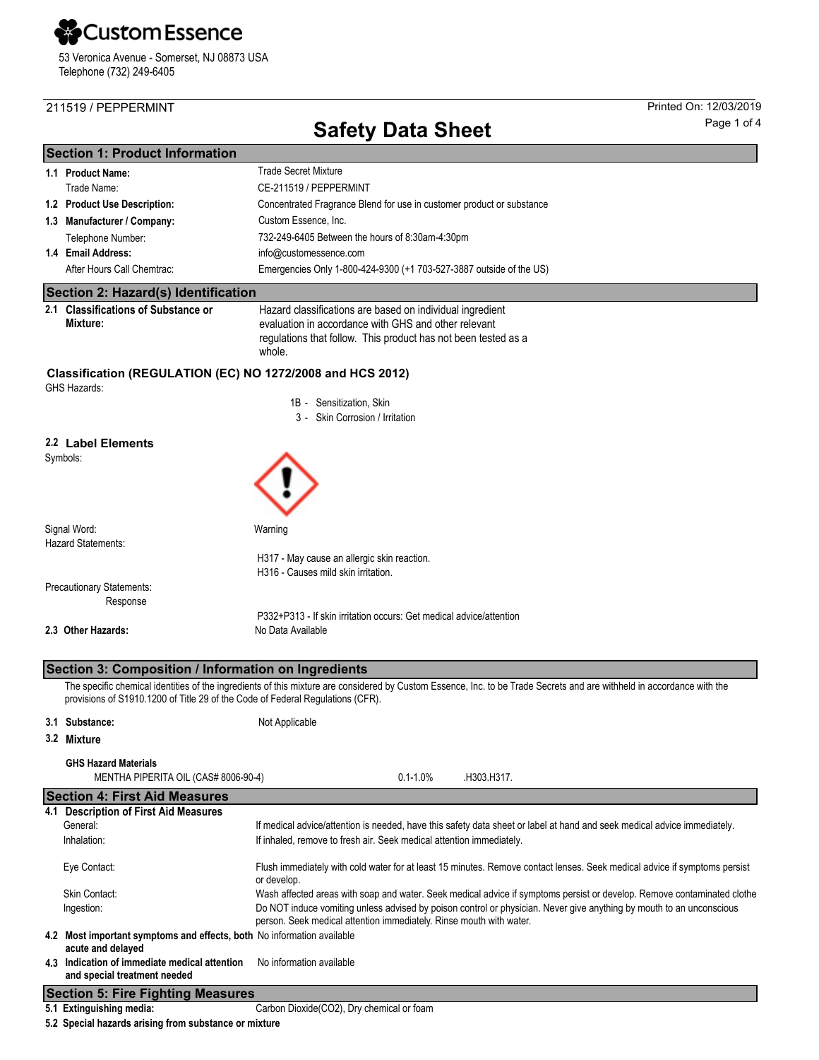## **X**Custom Essence

53 Veronica Avenue - Somerset, NJ 08873 USA Telephone (732) 249-6405

### 211519 / PEPPERMINT Printed On: 12/03/2019

## **Safety Data Sheet** Page 1 of 4

|                                                                                   | <b>Section 1: Product Information</b>                                                       |                                                                                                                                                                                                  |  |  |  |
|-----------------------------------------------------------------------------------|---------------------------------------------------------------------------------------------|--------------------------------------------------------------------------------------------------------------------------------------------------------------------------------------------------|--|--|--|
|                                                                                   | 1.1 Product Name:                                                                           | <b>Trade Secret Mixture</b>                                                                                                                                                                      |  |  |  |
|                                                                                   | Trade Name:                                                                                 | CE-211519 / PEPPERMINT                                                                                                                                                                           |  |  |  |
|                                                                                   | 1.2 Product Use Description:                                                                | Concentrated Fragrance Blend for use in customer product or substance                                                                                                                            |  |  |  |
|                                                                                   | 1.3 Manufacturer / Company:                                                                 | Custom Essence, Inc.                                                                                                                                                                             |  |  |  |
|                                                                                   | Telephone Number:                                                                           | 732-249-6405 Between the hours of 8:30am-4:30pm                                                                                                                                                  |  |  |  |
|                                                                                   | 1.4 Email Address:                                                                          | info@customessence.com                                                                                                                                                                           |  |  |  |
|                                                                                   | After Hours Call Chemtrac:                                                                  | Emergencies Only 1-800-424-9300 (+1 703-527-3887 outside of the US)                                                                                                                              |  |  |  |
|                                                                                   | Section 2: Hazard(s) Identification                                                         |                                                                                                                                                                                                  |  |  |  |
|                                                                                   | 2.1 Classifications of Substance or                                                         | Hazard classifications are based on individual ingredient                                                                                                                                        |  |  |  |
|                                                                                   | Mixture:                                                                                    | evaluation in accordance with GHS and other relevant<br>regulations that follow. This product has not been tested as a<br>whole.                                                                 |  |  |  |
| Classification (REGULATION (EC) NO 1272/2008 and HCS 2012)<br><b>GHS Hazards:</b> |                                                                                             |                                                                                                                                                                                                  |  |  |  |
|                                                                                   |                                                                                             | 1B - Sensitization, Skin                                                                                                                                                                         |  |  |  |
|                                                                                   |                                                                                             | 3 - Skin Corrosion / Irritation                                                                                                                                                                  |  |  |  |
|                                                                                   | 2.2 Label Elements<br>Symbols:                                                              |                                                                                                                                                                                                  |  |  |  |
|                                                                                   | Signal Word:                                                                                | Warning                                                                                                                                                                                          |  |  |  |
|                                                                                   | <b>Hazard Statements:</b>                                                                   |                                                                                                                                                                                                  |  |  |  |
|                                                                                   |                                                                                             | H317 - May cause an allergic skin reaction.                                                                                                                                                      |  |  |  |
|                                                                                   |                                                                                             | H316 - Causes mild skin irritation.                                                                                                                                                              |  |  |  |
|                                                                                   | Precautionary Statements:<br>Response                                                       |                                                                                                                                                                                                  |  |  |  |
|                                                                                   |                                                                                             | P332+P313 - If skin irritation occurs: Get medical advice/attention                                                                                                                              |  |  |  |
|                                                                                   | 2.3 Other Hazards:                                                                          | No Data Available                                                                                                                                                                                |  |  |  |
|                                                                                   |                                                                                             |                                                                                                                                                                                                  |  |  |  |
|                                                                                   | Section 3: Composition / Information on Ingredients                                         |                                                                                                                                                                                                  |  |  |  |
|                                                                                   | provisions of S1910.1200 of Title 29 of the Code of Federal Regulations (CFR).              | The specific chemical identities of the ingredients of this mixture are considered by Custom Essence, Inc. to be Trade Secrets and are withheld in accordance with the                           |  |  |  |
|                                                                                   | 3.1 Substance:                                                                              | Not Applicable                                                                                                                                                                                   |  |  |  |
|                                                                                   | 3.2 Mixture                                                                                 |                                                                                                                                                                                                  |  |  |  |
|                                                                                   | <b>GHS Hazard Materials</b><br>MENTHA PIPERITA OIL (CAS# 8006-90-4)                         | $0.1 - 1.0\%$<br>.H303.H317.                                                                                                                                                                     |  |  |  |
|                                                                                   | <b>Section 4: First Aid Measures</b>                                                        |                                                                                                                                                                                                  |  |  |  |
|                                                                                   | 4.1 Description of First Aid Measures<br>General:<br>Inhalation:                            | If medical advice/attention is needed, have this safety data sheet or label at hand and seek medical advice immediately.<br>If inhaled, remove to fresh air. Seek medical attention immediately. |  |  |  |
|                                                                                   | Eye Contact:                                                                                | Flush immediately with cold water for at least 15 minutes. Remove contact lenses. Seek medical advice if symptoms persist<br>or develop.                                                         |  |  |  |
|                                                                                   | Skin Contact:                                                                               | Wash affected areas with soap and water. Seek medical advice if symptoms persist or develop. Remove contaminated clothe                                                                          |  |  |  |
|                                                                                   | Ingestion:                                                                                  | Do NOT induce vomiting unless advised by poison control or physician. Never give anything by mouth to an unconscious                                                                             |  |  |  |
|                                                                                   | 4.2 Most important symptoms and effects, both No information available<br>acute and delayed | person. Seek medical attention immediately. Rinse mouth with water.                                                                                                                              |  |  |  |
|                                                                                   | 4.3 Indication of immediate medical attention<br>and special treatment needed               | No information available                                                                                                                                                                         |  |  |  |
|                                                                                   | <b>Section 5: Fire Fighting Measures</b>                                                    |                                                                                                                                                                                                  |  |  |  |
|                                                                                   | 5.1 Extinguishing media:                                                                    | Carbon Dioxide(CO2), Dry chemical or foam                                                                                                                                                        |  |  |  |

**5.2 Special hazards arising from substance or mixture**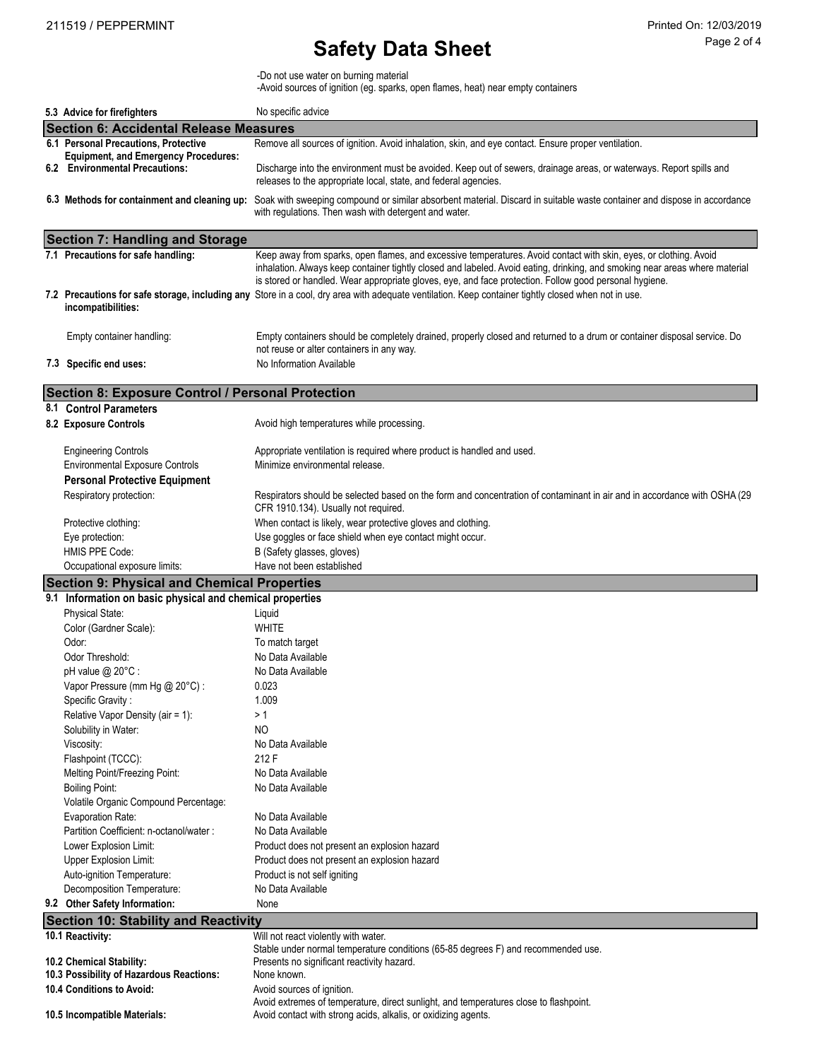# **Safety Data Sheet** Page 2 of 4

-Do not use water on burning material

-Avoid sources of ignition (eg. sparks, open flames, heat) near empty containers

| 5.3 Advice for firefighters                                                         | No specific advice                                                                                                                                                                                                                    |
|-------------------------------------------------------------------------------------|---------------------------------------------------------------------------------------------------------------------------------------------------------------------------------------------------------------------------------------|
| <b>Section 6: Accidental Release Measures</b>                                       |                                                                                                                                                                                                                                       |
| 6.1 Personal Precautions, Protective<br><b>Equipment, and Emergency Procedures:</b> | Remove all sources of ignition. Avoid inhalation, skin, and eye contact. Ensure proper ventilation.                                                                                                                                   |
| 6.2 Environmental Precautions:                                                      | Discharge into the environment must be avoided. Keep out of sewers, drainage areas, or waterways. Report spills and<br>releases to the appropriate local, state, and federal agencies.                                                |
| 6.3 Methods for containment and cleaning up:                                        | Soak with sweeping compound or similar absorbent material. Discard in suitable waste container and dispose in accordance<br>with regulations. Then wash with detergent and water.                                                     |
| <b>Section 7: Handling and Storage</b>                                              |                                                                                                                                                                                                                                       |
| 7.1 Precautions for safe handling:                                                  | Keep away from sparks, open flames, and excessive temperatures. Avoid contact with skin, eyes, or clothing. Avoid                                                                                                                     |
|                                                                                     | inhalation. Always keep container tightly closed and labeled. Avoid eating, drinking, and smoking near areas where material<br>is stored or handled. Wear appropriate gloves, eye, and face protection. Follow good personal hygiene. |
| incompatibilities:                                                                  | 7.2 Precautions for safe storage, including any Store in a cool, dry area with adequate ventilation. Keep container tightly closed when not in use.                                                                                   |
| Empty container handling:                                                           | Empty containers should be completely drained, properly closed and returned to a drum or container disposal service. Do<br>not reuse or alter containers in any way.                                                                  |
| 7.3 Specific end uses:                                                              | No Information Available                                                                                                                                                                                                              |
| <b>Section 8: Exposure Control / Personal Protection</b>                            |                                                                                                                                                                                                                                       |
| 8.1 Control Parameters                                                              |                                                                                                                                                                                                                                       |
| 8.2 Exposure Controls                                                               | Avoid high temperatures while processing.                                                                                                                                                                                             |
| <b>Engineering Controls</b>                                                         | Appropriate ventilation is required where product is handled and used.                                                                                                                                                                |
| <b>Environmental Exposure Controls</b>                                              | Minimize environmental release.                                                                                                                                                                                                       |
| <b>Personal Protective Equipment</b>                                                |                                                                                                                                                                                                                                       |
| Respiratory protection:                                                             | Respirators should be selected based on the form and concentration of contaminant in air and in accordance with OSHA (29<br>CFR 1910.134). Usually not required.                                                                      |
| Protective clothing:                                                                | When contact is likely, wear protective gloves and clothing.                                                                                                                                                                          |
| Eye protection:                                                                     | Use goggles or face shield when eye contact might occur.                                                                                                                                                                              |
| HMIS PPE Code:                                                                      | B (Safety glasses, gloves)                                                                                                                                                                                                            |
| Occupational exposure limits:                                                       | Have not been established                                                                                                                                                                                                             |
| <b>Section 9: Physical and Chemical Properties</b>                                  |                                                                                                                                                                                                                                       |
| 9.1 Information on basic physical and chemical properties                           |                                                                                                                                                                                                                                       |
| Physical State:                                                                     | Liquid                                                                                                                                                                                                                                |
| Color (Gardner Scale):                                                              | <b>WHITE</b>                                                                                                                                                                                                                          |
| Odor:                                                                               | To match target                                                                                                                                                                                                                       |
| Odor Threshold:                                                                     | No Data Available                                                                                                                                                                                                                     |
| pH value @ 20°C :                                                                   | No Data Available                                                                                                                                                                                                                     |
| Vapor Pressure (mm Hg @ 20°C) :                                                     | 0.023                                                                                                                                                                                                                                 |
| Specific Gravity:                                                                   | 1.009                                                                                                                                                                                                                                 |
| Relative Vapor Density (air = 1):                                                   | > 1                                                                                                                                                                                                                                   |
| Solubility in Water:                                                                | NO                                                                                                                                                                                                                                    |
| Viscosity:                                                                          | No Data Available                                                                                                                                                                                                                     |
| Flashpoint (TCCC):                                                                  | 212 F                                                                                                                                                                                                                                 |
| Melting Point/Freezing Point:                                                       | No Data Available                                                                                                                                                                                                                     |
| <b>Boiling Point:</b>                                                               | No Data Available                                                                                                                                                                                                                     |
| Volatile Organic Compound Percentage:                                               |                                                                                                                                                                                                                                       |
| <b>Evaporation Rate:</b>                                                            | No Data Available                                                                                                                                                                                                                     |
| Partition Coefficient: n-octanol/water :                                            | No Data Available                                                                                                                                                                                                                     |
| Lower Explosion Limit:                                                              | Product does not present an explosion hazard                                                                                                                                                                                          |
| Upper Explosion Limit:                                                              | Product does not present an explosion hazard                                                                                                                                                                                          |
| Auto-ignition Temperature:                                                          | Product is not self igniting                                                                                                                                                                                                          |
| Decomposition Temperature:                                                          | No Data Available                                                                                                                                                                                                                     |
| 9.2 Other Safety Information:                                                       | None                                                                                                                                                                                                                                  |
| <b>Section 10: Stability and Reactivity</b>                                         |                                                                                                                                                                                                                                       |
| 10.1 Reactivity:                                                                    | Will not react violently with water.                                                                                                                                                                                                  |
|                                                                                     | Stable under normal temperature conditions (65-85 degrees F) and recommended use.                                                                                                                                                     |
| 10.2 Chemical Stability:                                                            | Presents no significant reactivity hazard.                                                                                                                                                                                            |
| 10.3 Possibility of Hazardous Reactions:                                            | None known.                                                                                                                                                                                                                           |
| 10.4 Conditions to Avoid:                                                           | Avoid sources of ignition.                                                                                                                                                                                                            |
| 10.5 Incompatible Materials:                                                        | Avoid extremes of temperature, direct sunlight, and temperatures close to flashpoint.<br>Avoid contact with strong acids, alkalis, or oxidizing agents.                                                                               |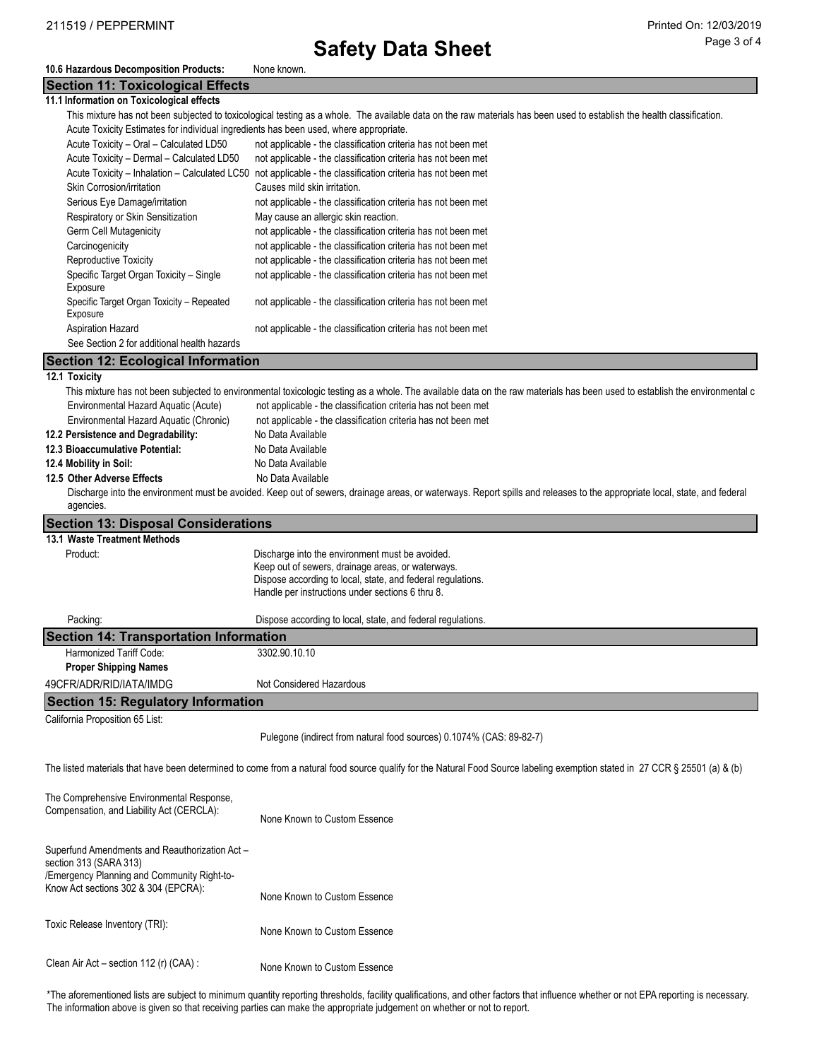## **Safety Data Sheet** Page 3 of 4

#### **10.6 Hazardous Decomposition Products:** None known.

#### **Section 11: Toxicological Effects**

| 11.1 Information on Toxicological effects |  |
|-------------------------------------------|--|
|-------------------------------------------|--|

|                                                                                       | This mixture has not been subjected to toxicological testing as a whole. The available data on the raw materials has been used to establish the health classification. |
|---------------------------------------------------------------------------------------|------------------------------------------------------------------------------------------------------------------------------------------------------------------------|
| Acute Toxicity Estimates for individual ingredients has been used, where appropriate. |                                                                                                                                                                        |

| Actile Toxicity Estimates for individual ingredients rias been used, where appropriate. |                                                               |  |
|-----------------------------------------------------------------------------------------|---------------------------------------------------------------|--|
| Acute Toxicity - Oral - Calculated LD50                                                 | not applicable - the classification criteria has not been met |  |
| Acute Toxicity - Dermal - Calculated LD50                                               | not applicable - the classification criteria has not been met |  |
| Acute Toxicity - Inhalation - Calculated LC50                                           | not applicable - the classification criteria has not been met |  |
| Skin Corrosion/irritation                                                               | Causes mild skin irritation.                                  |  |
| Serious Eye Damage/irritation                                                           | not applicable - the classification criteria has not been met |  |
| Respiratory or Skin Sensitization                                                       | May cause an allergic skin reaction.                          |  |
| Germ Cell Mutagenicity                                                                  | not applicable - the classification criteria has not been met |  |
| Carcinogenicity                                                                         | not applicable - the classification criteria has not been met |  |
| Reproductive Toxicity                                                                   | not applicable - the classification criteria has not been met |  |
| Specific Target Organ Toxicity - Single<br>Exposure                                     | not applicable - the classification criteria has not been met |  |
| Specific Target Organ Toxicity - Repeated<br>Exposure                                   | not applicable - the classification criteria has not been met |  |
| <b>Aspiration Hazard</b>                                                                | not applicable - the classification criteria has not been met |  |
| See Section 2 for additional health hazards                                             |                                                               |  |

### **Section 12: Ecological Information**

### **12.1 Toxicity**

| This mixture has not been subjected to environmental toxicologic testing as a whole. The available data on the raw materials has been used to establish the environmental c |                                                                                                                                                                                                                         |  |  |  |  |  |
|-----------------------------------------------------------------------------------------------------------------------------------------------------------------------------|-------------------------------------------------------------------------------------------------------------------------------------------------------------------------------------------------------------------------|--|--|--|--|--|
| Environmental Hazard Aquatic (Acute)                                                                                                                                        | not applicable - the classification criteria has not been met                                                                                                                                                           |  |  |  |  |  |
| Environmental Hazard Aguatic (Chronic)                                                                                                                                      | not applicable - the classification criteria has not been met                                                                                                                                                           |  |  |  |  |  |
| 12.2 Persistence and Degradability:                                                                                                                                         | No Data Available                                                                                                                                                                                                       |  |  |  |  |  |
| 12.3 Bioaccumulative Potential:                                                                                                                                             | No Data Available                                                                                                                                                                                                       |  |  |  |  |  |
| 12.4 Mobility in Soil:                                                                                                                                                      | No Data Available                                                                                                                                                                                                       |  |  |  |  |  |
| 12.5 Other Adverse Effects                                                                                                                                                  | No Data Available                                                                                                                                                                                                       |  |  |  |  |  |
| agencies.                                                                                                                                                                   | Discharge into the environment must be avoided. Keep out of sewers, drainage areas, or waterways. Report spills and releases to the appropriate local, state, and federal                                               |  |  |  |  |  |
|                                                                                                                                                                             | <b>Section 13: Disposal Considerations</b>                                                                                                                                                                              |  |  |  |  |  |
| 13.1 Waste Treatment Methods                                                                                                                                                |                                                                                                                                                                                                                         |  |  |  |  |  |
| Product:                                                                                                                                                                    | Discharge into the environment must be avoided.<br>Keep out of sewers, drainage areas, or waterways.<br>Dispose according to local, state, and federal regulations.<br>Handle per instructions under sections 6 thru 8. |  |  |  |  |  |
| Packing:                                                                                                                                                                    | Dispose according to local, state, and federal regulations.                                                                                                                                                             |  |  |  |  |  |
| <b>Section 14: Transportation Information</b>                                                                                                                               |                                                                                                                                                                                                                         |  |  |  |  |  |
| Harmonized Tariff Code:                                                                                                                                                     | 3302.90.10.10                                                                                                                                                                                                           |  |  |  |  |  |
| <b>Proper Shipping Names</b>                                                                                                                                                |                                                                                                                                                                                                                         |  |  |  |  |  |
| 49CFR/ADR/RID/IATA/IMDG                                                                                                                                                     | Not Considered Hazardous                                                                                                                                                                                                |  |  |  |  |  |
| <b>Section 15: Regulatory Information</b>                                                                                                                                   |                                                                                                                                                                                                                         |  |  |  |  |  |
| California Proposition 65 List:                                                                                                                                             |                                                                                                                                                                                                                         |  |  |  |  |  |
|                                                                                                                                                                             | Pulegone (indirect from natural food sources) 0.1074% (CAS: 89-82-7)                                                                                                                                                    |  |  |  |  |  |
|                                                                                                                                                                             | The listed materials that have been determined to come from a natural food source qualify for the Natural Food Source labeling exemption stated in 27 CCR § 25501 (a) & (b)                                             |  |  |  |  |  |
| The Comprehensive Environmental Response,                                                                                                                                   |                                                                                                                                                                                                                         |  |  |  |  |  |

| Compensation, and Liability Act (CERCLA):                                                                                                                       | None Known to Custom Essence |
|-----------------------------------------------------------------------------------------------------------------------------------------------------------------|------------------------------|
| Superfund Amendments and Reauthorization Act -<br>section 313 (SARA 313)<br>/Emergency Planning and Community Right-to-<br>Know Act sections 302 & 304 (EPCRA): |                              |
|                                                                                                                                                                 | None Known to Custom Essence |
| Toxic Release Inventory (TRI):                                                                                                                                  | None Known to Custom Essence |
| Clean Air Act – section 112 (r) (CAA) :                                                                                                                         | None Known to Custom Essence |

\*The aforementioned lists are subject to minimum quantity reporting thresholds, facility qualifications, and other factors that influence whether or not EPA reporting is necessary. The information above is given so that receiving parties can make the appropriate judgement on whether or not to report.